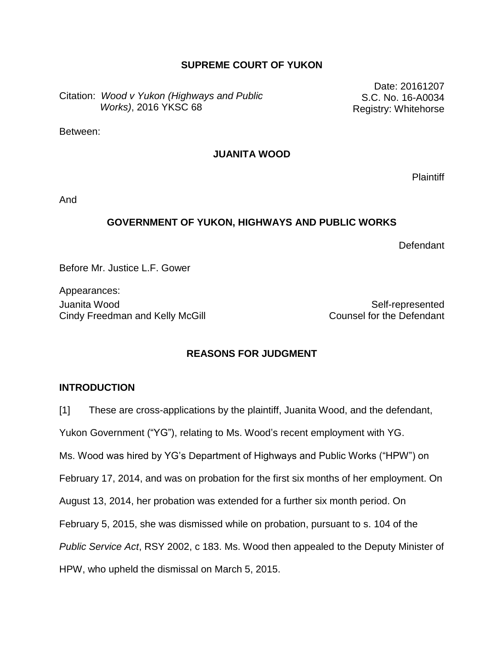### **SUPREME COURT OF YUKON**

Citation: *Wood v Yukon (Highways and Public Works)*, 2016 YKSC 68

Date: 20161207 S.C. No. 16-A0034 Registry: Whitehorse

Between:

### **JUANITA WOOD**

**Plaintiff** 

And

#### **GOVERNMENT OF YUKON, HIGHWAYS AND PUBLIC WORKS**

Defendant

Before Mr. Justice L.F. Gower

Appearances: Juanita Wood Self-represented Cindy Freedman and Kelly McGill Cindy Freedman and Kelly McGill Counsel for the Defendant

### **REASONS FOR JUDGMENT**

#### **INTRODUCTION**

[1] These are cross-applications by the plaintiff, Juanita Wood, and the defendant,

Yukon Government ("YG"), relating to Ms. Wood's recent employment with YG.

Ms. Wood was hired by YG's Department of Highways and Public Works ("HPW") on

February 17, 2014, and was on probation for the first six months of her employment. On

August 13, 2014, her probation was extended for a further six month period. On

February 5, 2015, she was dismissed while on probation, pursuant to s. 104 of the

*Public Service Act*, RSY 2002, c 183. Ms. Wood then appealed to the Deputy Minister of

HPW, who upheld the dismissal on March 5, 2015.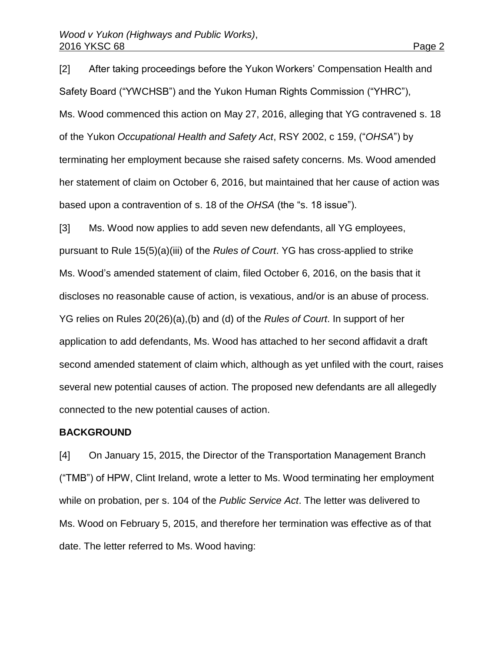[2] After taking proceedings before the Yukon Workers' Compensation Health and Safety Board ("YWCHSB") and the Yukon Human Rights Commission ("YHRC"), Ms. Wood commenced this action on May 27, 2016, alleging that YG contravened s. 18 of the Yukon *Occupational Health and Safety Act*, RSY 2002, c 159, ("*OHSA*") by terminating her employment because she raised safety concerns. Ms. Wood amended her statement of claim on October 6, 2016, but maintained that her cause of action was based upon a contravention of s. 18 of the *OHSA* (the "s. 18 issue").

[3] Ms. Wood now applies to add seven new defendants, all YG employees, pursuant to Rule 15(5)(a)(iii) of the *Rules of Court*. YG has cross-applied to strike Ms. Wood's amended statement of claim, filed October 6, 2016, on the basis that it discloses no reasonable cause of action, is vexatious, and/or is an abuse of process. YG relies on Rules 20(26)(a),(b) and (d) of the *Rules of Court*. In support of her application to add defendants, Ms. Wood has attached to her second affidavit a draft second amended statement of claim which, although as yet unfiled with the court, raises several new potential causes of action. The proposed new defendants are all allegedly connected to the new potential causes of action.

#### **BACKGROUND**

[4] On January 15, 2015, the Director of the Transportation Management Branch ("TMB") of HPW, Clint Ireland, wrote a letter to Ms. Wood terminating her employment while on probation, per s. 104 of the *Public Service Act*. The letter was delivered to Ms. Wood on February 5, 2015, and therefore her termination was effective as of that date. The letter referred to Ms. Wood having: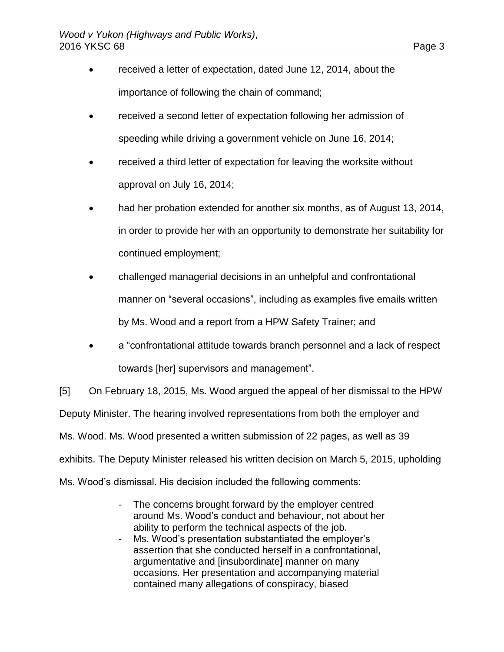- received a letter of expectation, dated June 12, 2014, about the importance of following the chain of command;
- received a second letter of expectation following her admission of speeding while driving a government vehicle on June 16, 2014;
- received a third letter of expectation for leaving the worksite without approval on July 16, 2014;
- had her probation extended for another six months, as of August 13, 2014, in order to provide her with an opportunity to demonstrate her suitability for continued employment;
- challenged managerial decisions in an unhelpful and confrontational manner on "several occasions", including as examples five emails written by Ms. Wood and a report from a HPW Safety Trainer; and
- a "confrontational attitude towards branch personnel and a lack of respect towards [her] supervisors and management".

[5] On February 18, 2015, Ms. Wood argued the appeal of her dismissal to the HPW Deputy Minister. The hearing involved representations from both the employer and Ms. Wood. Ms. Wood presented a written submission of 22 pages, as well as 39 exhibits. The Deputy Minister released his written decision on March 5, 2015, upholding Ms. Wood's dismissal. His decision included the following comments:

- The concerns brought forward by the employer centred around Ms. Wood's conduct and behaviour, not about her ability to perform the technical aspects of the job.
- Ms. Wood's presentation substantiated the employer's assertion that she conducted herself in a confrontational, argumentative and [insubordinate] manner on many occasions. Her presentation and accompanying material contained many allegations of conspiracy, biased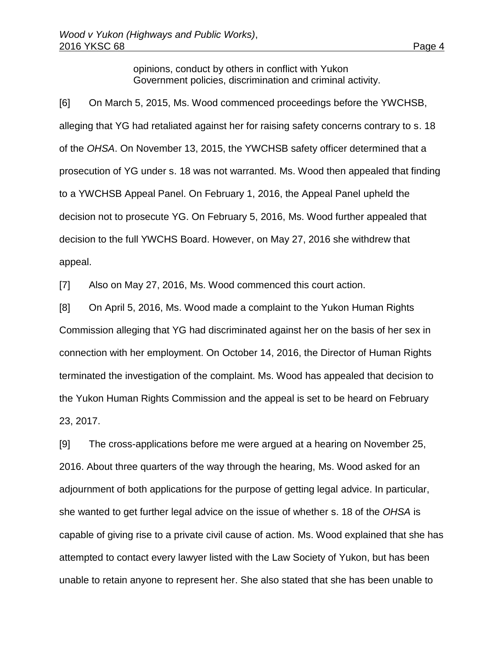opinions, conduct by others in conflict with Yukon Government policies, discrimination and criminal activity.

[6] On March 5, 2015, Ms. Wood commenced proceedings before the YWCHSB, alleging that YG had retaliated against her for raising safety concerns contrary to s. 18 of the *OHSA*. On November 13, 2015, the YWCHSB safety officer determined that a prosecution of YG under s. 18 was not warranted. Ms. Wood then appealed that finding to a YWCHSB Appeal Panel. On February 1, 2016, the Appeal Panel upheld the decision not to prosecute YG. On February 5, 2016, Ms. Wood further appealed that decision to the full YWCHS Board. However, on May 27, 2016 she withdrew that appeal.

[7] Also on May 27, 2016, Ms. Wood commenced this court action.

[8] On April 5, 2016, Ms. Wood made a complaint to the Yukon Human Rights Commission alleging that YG had discriminated against her on the basis of her sex in connection with her employment. On October 14, 2016, the Director of Human Rights terminated the investigation of the complaint. Ms. Wood has appealed that decision to the Yukon Human Rights Commission and the appeal is set to be heard on February 23, 2017.

[9] The cross-applications before me were argued at a hearing on November 25, 2016. About three quarters of the way through the hearing, Ms. Wood asked for an adjournment of both applications for the purpose of getting legal advice. In particular, she wanted to get further legal advice on the issue of whether s. 18 of the *OHSA* is capable of giving rise to a private civil cause of action. Ms. Wood explained that she has attempted to contact every lawyer listed with the Law Society of Yukon, but has been unable to retain anyone to represent her. She also stated that she has been unable to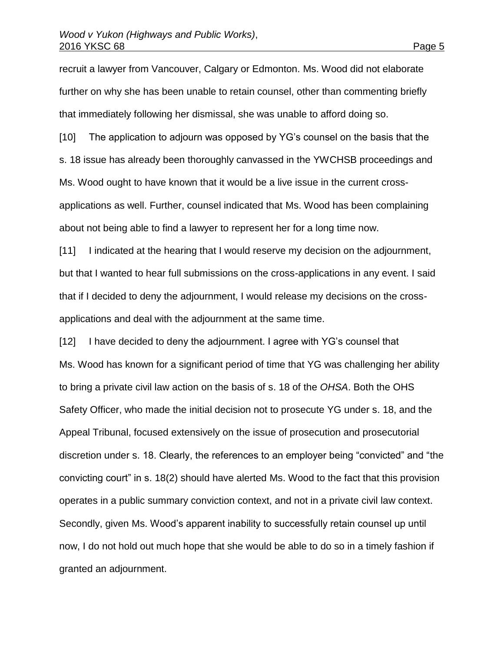recruit a lawyer from Vancouver, Calgary or Edmonton. Ms. Wood did not elaborate further on why she has been unable to retain counsel, other than commenting briefly that immediately following her dismissal, she was unable to afford doing so.

[10] The application to adjourn was opposed by YG's counsel on the basis that the s. 18 issue has already been thoroughly canvassed in the YWCHSB proceedings and Ms. Wood ought to have known that it would be a live issue in the current crossapplications as well. Further, counsel indicated that Ms. Wood has been complaining about not being able to find a lawyer to represent her for a long time now.

[11] I indicated at the hearing that I would reserve my decision on the adjournment, but that I wanted to hear full submissions on the cross-applications in any event. I said that if I decided to deny the adjournment, I would release my decisions on the crossapplications and deal with the adjournment at the same time.

[12] I have decided to deny the adjournment. I agree with YG's counsel that Ms. Wood has known for a significant period of time that YG was challenging her ability to bring a private civil law action on the basis of s. 18 of the *OHSA*. Both the OHS Safety Officer, who made the initial decision not to prosecute YG under s. 18, and the Appeal Tribunal, focused extensively on the issue of prosecution and prosecutorial discretion under s. 18. Clearly, the references to an employer being "convicted" and "the convicting court" in s. 18(2) should have alerted Ms. Wood to the fact that this provision operates in a public summary conviction context, and not in a private civil law context. Secondly, given Ms. Wood's apparent inability to successfully retain counsel up until now, I do not hold out much hope that she would be able to do so in a timely fashion if granted an adjournment.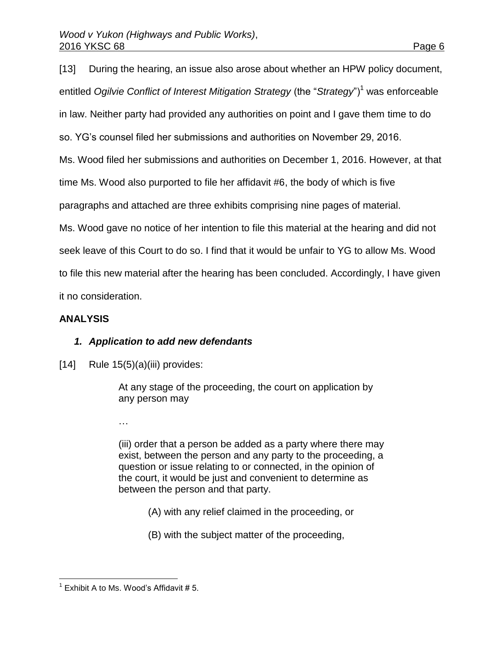[13] During the hearing, an issue also arose about whether an HPW policy document, entitled Ogilvie Conflict of Interest Mitigation Strategy (the "Strategy")<sup>1</sup> was enforceable in law. Neither party had provided any authorities on point and I gave them time to do so. YG's counsel filed her submissions and authorities on November 29, 2016. Ms. Wood filed her submissions and authorities on December 1, 2016. However, at that time Ms. Wood also purported to file her affidavit #6, the body of which is five paragraphs and attached are three exhibits comprising nine pages of material. Ms. Wood gave no notice of her intention to file this material at the hearing and did not seek leave of this Court to do so. I find that it would be unfair to YG to allow Ms. Wood to file this new material after the hearing has been concluded. Accordingly, I have given it no consideration.

## **ANALYSIS**

### *1. Application to add new defendants*

 $[14]$  Rule 15(5)(a)(iii) provides:

At any stage of the proceeding, the court on application by any person may

…

(iii) order that a person be added as a party where there may exist, between the person and any party to the proceeding, a question or issue relating to or connected, in the opinion of the court, it would be just and convenient to determine as between the person and that party.

- (A) with any relief claimed in the proceeding, or
- (B) with the subject matter of the proceeding,

 1 Exhibit A to Ms. Wood's Affidavit # 5.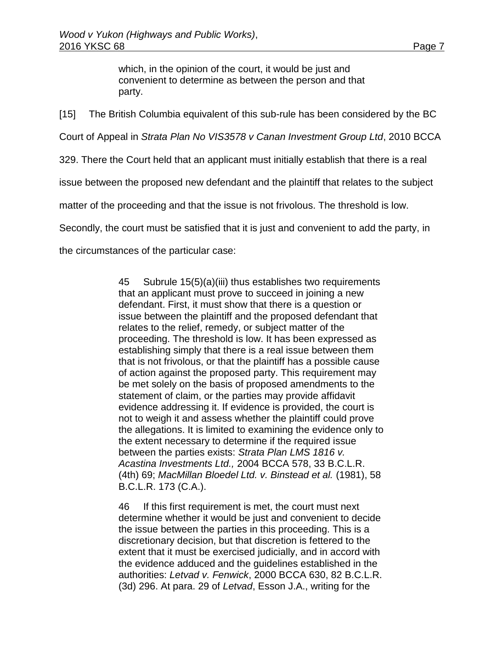which, in the opinion of the court, it would be just and convenient to determine as between the person and that party.

[15] The British Columbia equivalent of this sub-rule has been considered by the BC

Court of Appeal in *Strata Plan No VIS3578 v Canan Investment Group Ltd*, 2010 BCCA

329. There the Court held that an applicant must initially establish that there is a real

issue between the proposed new defendant and the plaintiff that relates to the subject

matter of the proceeding and that the issue is not frivolous. The threshold is low.

Secondly, the court must be satisfied that it is just and convenient to add the party, in

the circumstances of the particular case:

45 Subrule 15(5)(a)(iii) thus establishes two requirements that an applicant must prove to succeed in joining a new defendant. First, it must show that there is a question or issue between the plaintiff and the proposed defendant that relates to the relief, remedy, or subject matter of the proceeding. The threshold is low. It has been expressed as establishing simply that there is a real issue between them that is not frivolous, or that the plaintiff has a possible cause of action against the proposed party. This requirement may be met solely on the basis of proposed amendments to the statement of claim, or the parties may provide affidavit evidence addressing it. If evidence is provided, the court is not to weigh it and assess whether the plaintiff could prove the allegations. It is limited to examining the evidence only to the extent necessary to determine if the required issue between the parties exists: *Strata Plan LMS 1816 v. Acastina Investments Ltd.,* [2004 BCCA 578,](http://www.lexisnexis.com/ca/legal/search/runRemoteLink.do?A=0.6919747078040794&bct=A&service=citation&risb=21_T25132067365&langcountry=CA&linkInfo=F%23CA%23BCCA%23sel1%252004%25year%252004%25decisiondate%252004%25onum%25578%25) [33 B.C.L.R.](http://www.lexisnexis.com/ca/legal/search/runRemoteLink.do?A=0.6861164555672951&bct=A&service=citation&risb=21_T25132067365&langcountry=CA&linkInfo=F%23CA%23BCLR4%23vol%2533%25page%2569%25sel2%2533%25)  [\(4th\) 69;](http://www.lexisnexis.com/ca/legal/search/runRemoteLink.do?A=0.6861164555672951&bct=A&service=citation&risb=21_T25132067365&langcountry=CA&linkInfo=F%23CA%23BCLR4%23vol%2533%25page%2569%25sel2%2533%25) *MacMillan Bloedel Ltd. v. Binstead et al.* [\(1981\), 58](http://www.lexisnexis.com/ca/legal/search/runRemoteLink.do?A=0.24659658489510905&bct=A&service=citation&risb=21_T25132067365&langcountry=CA&linkInfo=F%23CA%23BCLR%23vol%2558%25sel1%251981%25page%25173%25year%251981%25sel2%2558%25decisiondate%251981%25)  [B.C.L.R. 173](http://www.lexisnexis.com/ca/legal/search/runRemoteLink.do?A=0.24659658489510905&bct=A&service=citation&risb=21_T25132067365&langcountry=CA&linkInfo=F%23CA%23BCLR%23vol%2558%25sel1%251981%25page%25173%25year%251981%25sel2%2558%25decisiondate%251981%25) (C.A.).

46 If this first requirement is met, the court must next determine whether it would be just and convenient to decide the issue between the parties in this proceeding. This is a discretionary decision, but that discretion is fettered to the extent that it must be exercised judicially, and in accord with the evidence adduced and the guidelines established in the authorities: *Letvad v. Fenwick*, [2000 BCCA 630,](http://www.lexisnexis.com/ca/legal/search/runRemoteLink.do?A=0.7672979219401391&bct=A&service=citation&risb=21_T25132067365&langcountry=CA&linkInfo=F%23CA%23BCCA%23sel1%252000%25year%252000%25decisiondate%252000%25onum%25630%25) [82 B.C.L.R.](http://www.lexisnexis.com/ca/legal/search/runRemoteLink.do?A=0.9347099562042924&bct=A&service=citation&risb=21_T25132067365&langcountry=CA&linkInfo=F%23CA%23BCLR3%23vol%2582%25page%25296%25sel2%2582%25)  [\(3d\) 296.](http://www.lexisnexis.com/ca/legal/search/runRemoteLink.do?A=0.9347099562042924&bct=A&service=citation&risb=21_T25132067365&langcountry=CA&linkInfo=F%23CA%23BCLR3%23vol%2582%25page%25296%25sel2%2582%25) At para. 29 of *Letvad*, Esson J.A., writing for the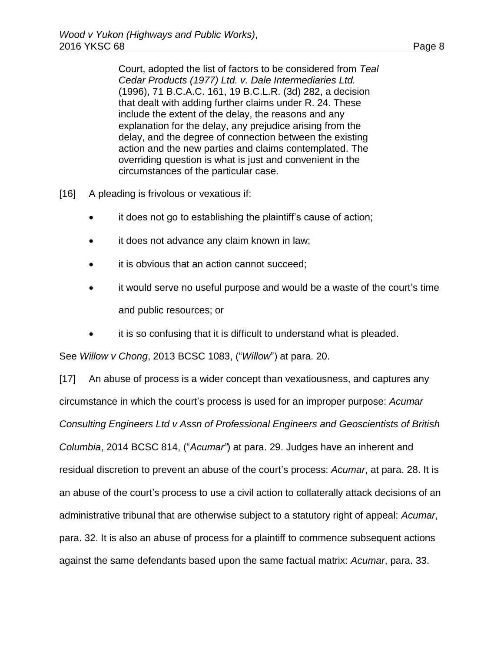Court, adopted the list of factors to be considered from *Teal Cedar Products (1977) Ltd. v. Dale Intermediaries Ltd.* [\(1996\), 71 B.C.A.C. 161,](http://www.lexisnexis.com/ca/legal/search/runRemoteLink.do?A=0.19976419655093458&bct=A&service=citation&risb=21_T25132067365&langcountry=CA&linkInfo=F%23CA%23BCAC%23vol%2571%25sel1%251996%25page%25161%25year%251996%25sel2%2571%25decisiondate%251996%25) [19 B.C.L.R. \(3d\) 282,](http://www.lexisnexis.com/ca/legal/search/runRemoteLink.do?A=0.18449849665030416&bct=A&service=citation&risb=21_T25132067365&langcountry=CA&linkInfo=F%23CA%23BCLR3%23vol%2519%25page%25282%25sel2%2519%25) a decision that dealt with adding further claims under R. 24. These include the extent of the delay, the reasons and any explanation for the delay, any prejudice arising from the delay, and the degree of connection between the existing action and the new parties and claims contemplated. The overriding question is what is just and convenient in the circumstances of the particular case.

[16] A pleading is frivolous or vexatious if:

- it does not go to establishing the plaintiff's cause of action;
- it does not advance any claim known in law;
- it is obvious that an action cannot succeed;
- it would serve no useful purpose and would be a waste of the court's time and public resources; or
- it is so confusing that it is difficult to understand what is pleaded.

See *Willow v Chong*, 2013 BCSC 1083, ("*Willow*") at para. 20.

[17] An abuse of process is a wider concept than vexatiousness, and captures any circumstance in which the court's process is used for an improper purpose: *Acumar Consulting Engineers Ltd v Assn of Professional Engineers and Geoscientists of British Columbia*, 2014 BCSC 814, ("*Acumar"*) at para. 29. Judges have an inherent and residual discretion to prevent an abuse of the court's process: *Acumar*, at para. 28. It is an abuse of the court's process to use a civil action to collaterally attack decisions of an administrative tribunal that are otherwise subject to a statutory right of appeal: *Acumar*, para. 32. It is also an abuse of process for a plaintiff to commence subsequent actions against the same defendants based upon the same factual matrix: *Acumar*, para. 33.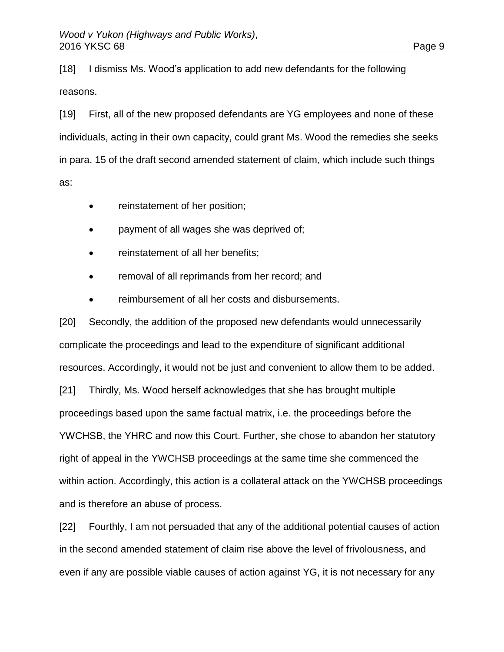[18] I dismiss Ms. Wood's application to add new defendants for the following reasons.

[19] First, all of the new proposed defendants are YG employees and none of these individuals, acting in their own capacity, could grant Ms. Wood the remedies she seeks in para. 15 of the draft second amended statement of claim, which include such things as:

- reinstatement of her position;
- payment of all wages she was deprived of;
- reinstatement of all her benefits;
- removal of all reprimands from her record; and
- reimbursement of all her costs and disbursements.

[20] Secondly, the addition of the proposed new defendants would unnecessarily complicate the proceedings and lead to the expenditure of significant additional resources. Accordingly, it would not be just and convenient to allow them to be added. [21] Thirdly, Ms. Wood herself acknowledges that she has brought multiple proceedings based upon the same factual matrix, i.e. the proceedings before the YWCHSB, the YHRC and now this Court. Further, she chose to abandon her statutory right of appeal in the YWCHSB proceedings at the same time she commenced the within action. Accordingly, this action is a collateral attack on the YWCHSB proceedings and is therefore an abuse of process.

[22] Fourthly, I am not persuaded that any of the additional potential causes of action in the second amended statement of claim rise above the level of frivolousness, and even if any are possible viable causes of action against YG, it is not necessary for any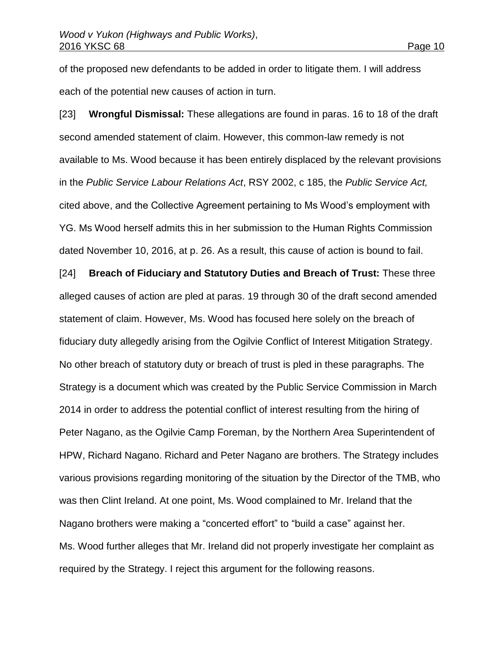of the proposed new defendants to be added in order to litigate them. I will address each of the potential new causes of action in turn.

[23] **Wrongful Dismissal:** These allegations are found in paras. 16 to 18 of the draft second amended statement of claim. However, this common-law remedy is not available to Ms. Wood because it has been entirely displaced by the relevant provisions in the *Public Service Labour Relations Act*, RSY 2002, c 185, the *Public Service Act,*  cited above, and the Collective Agreement pertaining to Ms Wood's employment with YG. Ms Wood herself admits this in her submission to the Human Rights Commission dated November 10, 2016, at p. 26. As a result, this cause of action is bound to fail.

[24] **Breach of Fiduciary and Statutory Duties and Breach of Trust:** These three alleged causes of action are pled at paras. 19 through 30 of the draft second amended statement of claim. However, Ms. Wood has focused here solely on the breach of fiduciary duty allegedly arising from the Ogilvie Conflict of Interest Mitigation Strategy. No other breach of statutory duty or breach of trust is pled in these paragraphs. The Strategy is a document which was created by the Public Service Commission in March 2014 in order to address the potential conflict of interest resulting from the hiring of Peter Nagano, as the Ogilvie Camp Foreman, by the Northern Area Superintendent of HPW, Richard Nagano. Richard and Peter Nagano are brothers. The Strategy includes various provisions regarding monitoring of the situation by the Director of the TMB, who was then Clint Ireland. At one point, Ms. Wood complained to Mr. Ireland that the Nagano brothers were making a "concerted effort" to "build a case" against her. Ms. Wood further alleges that Mr. Ireland did not properly investigate her complaint as required by the Strategy. I reject this argument for the following reasons.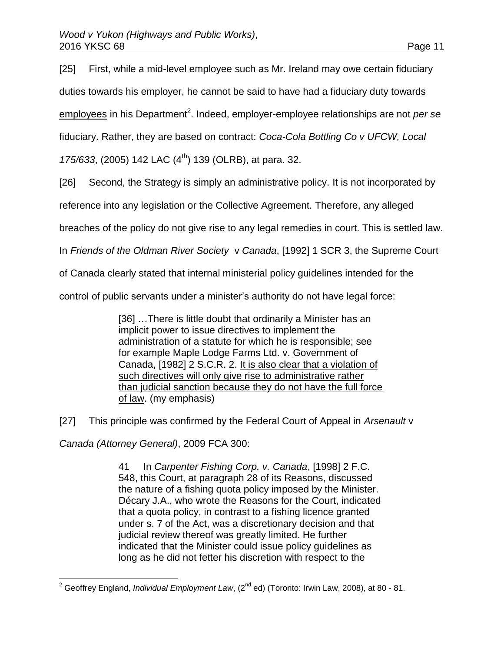[25] First, while a mid-level employee such as Mr. Ireland may owe certain fiduciary duties towards his employer, he cannot be said to have had a fiduciary duty towards employees in his Department<sup>2</sup>. Indeed, employer-employee relationships are not *per se* fiduciary. Rather, they are based on contract: *Coca-Cola Bottling Co v UFCW, Local* 

*175/633*, (2005) 142 LAC (4<sup>th</sup>) 139 (OLRB), at para. 32.

[26] Second, the Strategy is simply an administrative policy. It is not incorporated by

reference into any legislation or the Collective Agreement. Therefore, any alleged

breaches of the policy do not give rise to any legal remedies in court. This is settled law.

In *Friends of the Oldman River Society* v *Canada*, [1992] 1 SCR 3, the Supreme Court

of Canada clearly stated that internal ministerial policy guidelines intended for the

control of public servants under a minister's authority do not have legal force:

[36] …There is little doubt that ordinarily a Minister has an implicit power to issue directives to implement the administration of a statute for which he is responsible; see for example Maple Lodge Farms Ltd. v. Government of Canada, [\[1982\] 2 S.C.R. 2.](http://www.lexisnexis.com/ca/legal/search/runRemoteLink.do?A=0.7766064413046047&bct=A&service=citation&risb=21_T25155577496&langcountry=CA&linkInfo=F%23CA%23SCR%23vol%252%25sel1%251982%25page%252%25year%251982%25sel2%252%25) It is also clear that a violation of such directives will only give rise to administrative rather than judicial sanction because they do not have the full force of law. (my emphasis)

[27] This principle was confirmed by the Federal Court of Appeal in *Arsenault* v

*Canada (Attorney General)*, 2009 FCA 300:

41 In *Carpenter Fishing Corp. v. Canada*, [\[1998\] 2 F.C.](http://www.lexisnexis.com/ca/legal/search/runRemoteLink.do?A=0.1775134001116203&bct=A&service=citation&risb=21_T25155609913&langcountry=CA&linkInfo=F%23CA%23FCR%23vol%252%25sel1%251998%25page%25548%25year%251998%25sel2%252%25)  [548,](http://www.lexisnexis.com/ca/legal/search/runRemoteLink.do?A=0.1775134001116203&bct=A&service=citation&risb=21_T25155609913&langcountry=CA&linkInfo=F%23CA%23FCR%23vol%252%25sel1%251998%25page%25548%25year%251998%25sel2%252%25) this Court, at paragraph 28 of its Reasons, discussed the nature of a fishing quota policy imposed by the Minister. Décary J.A., who wrote the Reasons for the Court, indicated that a quota policy, in contrast to a fishing licence granted under s. 7 of the Act, was a discretionary decision and that judicial review thereof was greatly limited. He further indicated that the Minister could issue policy guidelines as long as he did not fetter his discretion with respect to the

 $\overline{\phantom{a}}$ <sup>2</sup> Geoffrey England, *Individual Employment Law*, (2<sup>nd</sup> ed) (Toronto: Irwin Law, 2008), at 80 - 81.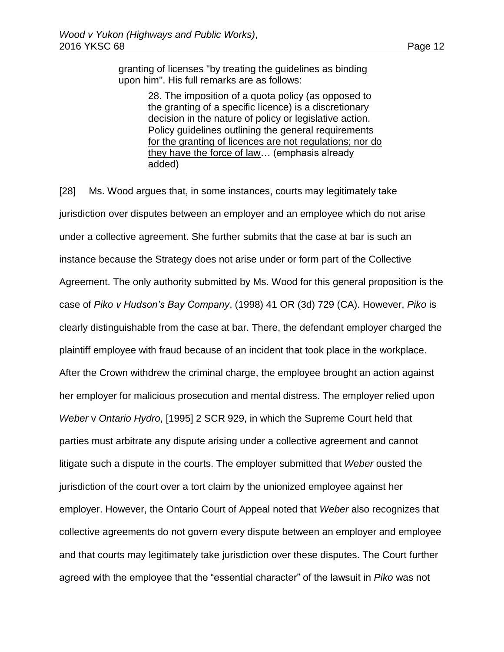granting of licenses "by treating the guidelines as binding upon him". His full remarks are as follows:

> 28. The imposition of a quota policy (as opposed to the granting of a specific licence) is a discretionary decision in the nature of policy or legislative action. Policy guidelines outlining the general requirements for the granting of licences are not regulations; nor do they have the force of law… (emphasis already added)

[28] Ms. Wood argues that, in some instances, courts may legitimately take jurisdiction over disputes between an employer and an employee which do not arise under a collective agreement. She further submits that the case at bar is such an instance because the Strategy does not arise under or form part of the Collective Agreement. The only authority submitted by Ms. Wood for this general proposition is the case of *Piko v Hudson's Bay Company*, (1998) 41 OR (3d) 729 (CA). However, *Piko* is clearly distinguishable from the case at bar. There, the defendant employer charged the plaintiff employee with fraud because of an incident that took place in the workplace. After the Crown withdrew the criminal charge, the employee brought an action against her employer for malicious prosecution and mental distress. The employer relied upon *Weber* v *Ontario Hydro*, [1995] 2 SCR 929, in which the Supreme Court held that parties must arbitrate any dispute arising under a collective agreement and cannot litigate such a dispute in the courts. The employer submitted that *Weber* ousted the jurisdiction of the court over a tort claim by the unionized employee against her employer. However, the Ontario Court of Appeal noted that *Weber* also recognizes that collective agreements do not govern every dispute between an employer and employee and that courts may legitimately take jurisdiction over these disputes. The Court further agreed with the employee that the "essential character" of the lawsuit in *Piko* was not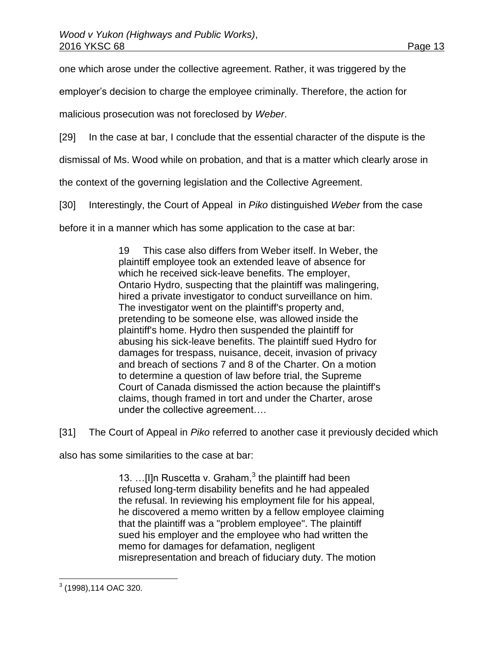one which arose under the collective agreement. Rather, it was triggered by the

employer's decision to charge the employee criminally. Therefore, the action for

malicious prosecution was not foreclosed by *Weber*.

[29] In the case at bar, I conclude that the essential character of the dispute is the

dismissal of Ms. Wood while on probation, and that is a matter which clearly arose in

the context of the governing legislation and the Collective Agreement.

[30] Interestingly, the Court of Appeal in *Piko* distinguished *Weber* from the case

before it in a manner which has some application to the case at bar:

19 This case also differs from Weber itself. In Weber, the plaintiff employee took an extended leave of absence for which he received sick-leave benefits. The employer, Ontario Hydro, suspecting that the plaintiff was malingering, hired a private investigator to conduct surveillance on him. The investigator went on the plaintiff's property and, pretending to be someone else, was allowed inside the plaintiff's home. Hydro then suspended the plaintiff for abusing his sick-leave benefits. The plaintiff sued Hydro for damages for trespass, nuisance, deceit, invasion of privacy and breach of sections 7 and 8 of the Charter. On a motion to determine a question of law before trial, the Supreme Court of Canada dismissed the action because the plaintiff's claims, though framed in tort and under the Charter, arose under the collective agreement….

[31] The Court of Appeal in *Piko* referred to another case it previously decided which

also has some similarities to the case at bar:

13. ...[I]n Ruscetta v. Graham, $3$  the plaintiff had been refused long-term disability benefits and he had appealed the refusal. In reviewing his employment file for his appeal, he discovered a memo written by a fellow employee claiming that the plaintiff was a "problem employee". The plaintiff sued his employer and the employee who had written the memo for damages for defamation, negligent misrepresentation and breach of fiduciary duty. The motion

 3 (1998),114 OAC 320.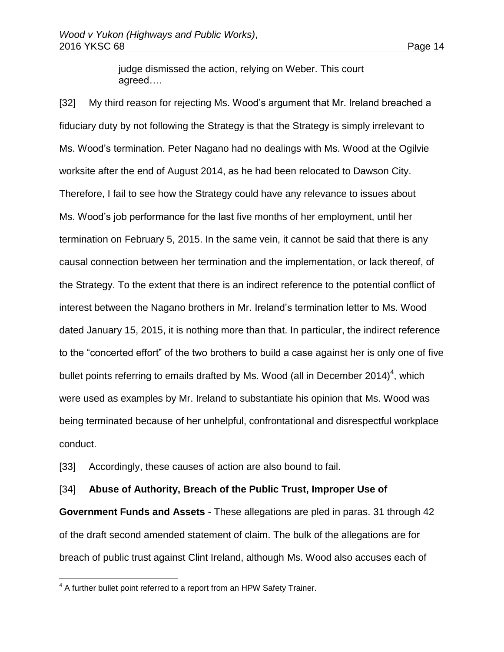judge dismissed the action, relying on Weber. This court agreed….

[32] My third reason for rejecting Ms. Wood's argument that Mr. Ireland breached a fiduciary duty by not following the Strategy is that the Strategy is simply irrelevant to Ms. Wood's termination. Peter Nagano had no dealings with Ms. Wood at the Ogilvie worksite after the end of August 2014, as he had been relocated to Dawson City. Therefore, I fail to see how the Strategy could have any relevance to issues about Ms. Wood's job performance for the last five months of her employment, until her termination on February 5, 2015. In the same vein, it cannot be said that there is any causal connection between her termination and the implementation, or lack thereof, of the Strategy. To the extent that there is an indirect reference to the potential conflict of interest between the Nagano brothers in Mr. Ireland's termination letter to Ms. Wood dated January 15, 2015, it is nothing more than that. In particular, the indirect reference to the "concerted effort" of the two brothers to build a case against her is only one of five bullet points referring to emails drafted by Ms. Wood (all in December 2014)<sup>4</sup>, which were used as examples by Mr. Ireland to substantiate his opinion that Ms. Wood was being terminated because of her unhelpful, confrontational and disrespectful workplace conduct.

[33] Accordingly, these causes of action are also bound to fail.

[34] **Abuse of Authority, Breach of the Public Trust, Improper Use of** 

**Government Funds and Assets** - These allegations are pled in paras. 31 through 42 of the draft second amended statement of claim. The bulk of the allegations are for breach of public trust against Clint Ireland, although Ms. Wood also accuses each of

 $\overline{a}$ 

 $4$  A further bullet point referred to a report from an HPW Safety Trainer.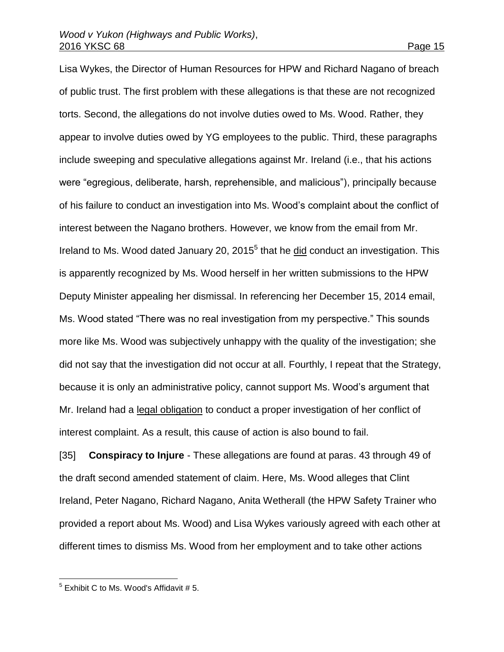Lisa Wykes, the Director of Human Resources for HPW and Richard Nagano of breach of public trust. The first problem with these allegations is that these are not recognized torts. Second, the allegations do not involve duties owed to Ms. Wood. Rather, they appear to involve duties owed by YG employees to the public. Third, these paragraphs include sweeping and speculative allegations against Mr. Ireland (i.e., that his actions were "egregious, deliberate, harsh, reprehensible, and malicious"), principally because of his failure to conduct an investigation into Ms. Wood's complaint about the conflict of interest between the Nagano brothers. However, we know from the email from Mr. Ireland to Ms. Wood dated January 20, 2015<sup>5</sup> that he did conduct an investigation. This is apparently recognized by Ms. Wood herself in her written submissions to the HPW Deputy Minister appealing her dismissal. In referencing her December 15, 2014 email, Ms. Wood stated "There was no real investigation from my perspective." This sounds more like Ms. Wood was subjectively unhappy with the quality of the investigation; she did not say that the investigation did not occur at all. Fourthly, I repeat that the Strategy, because it is only an administrative policy, cannot support Ms. Wood's argument that Mr. Ireland had a legal obligation to conduct a proper investigation of her conflict of interest complaint. As a result, this cause of action is also bound to fail.

[35] **Conspiracy to Injure** - These allegations are found at paras. 43 through 49 of the draft second amended statement of claim. Here, Ms. Wood alleges that Clint Ireland, Peter Nagano, Richard Nagano, Anita Wetherall (the HPW Safety Trainer who provided a report about Ms. Wood) and Lisa Wykes variously agreed with each other at different times to dismiss Ms. Wood from her employment and to take other actions

 5 Exhibit C to Ms. Wood's Affidavit # 5.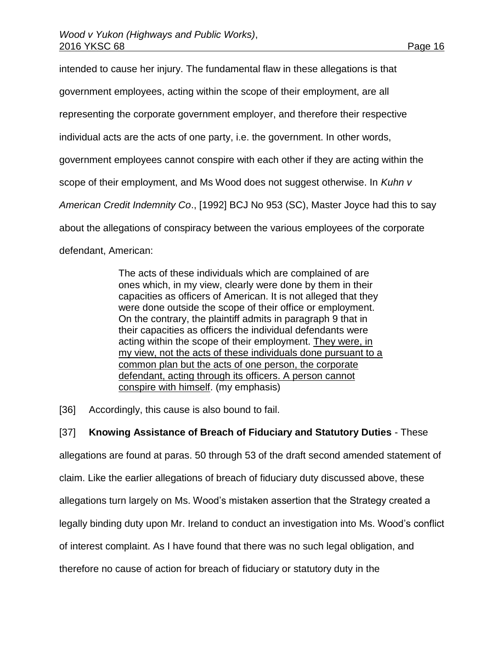intended to cause her injury. The fundamental flaw in these allegations is that government employees, acting within the scope of their employment, are all representing the corporate government employer, and therefore their respective individual acts are the acts of one party, i.e. the government. In other words, government employees cannot conspire with each other if they are acting within the scope of their employment, and Ms Wood does not suggest otherwise. In *Kuhn v American Credit Indemnity Co*., [1992] BCJ No 953 (SC), Master Joyce had this to say about the allegations of conspiracy between the various employees of the corporate defendant, American:

> The acts of these individuals which are complained of are ones which, in my view, clearly were done by them in their capacities as officers of American. It is not alleged that they were done outside the scope of their office or employment. On the contrary, the plaintiff admits in paragraph 9 that in their capacities as officers the individual defendants were acting within the scope of their employment. They were, in my view, not the acts of these individuals done pursuant to a common plan but the acts of one person, the corporate defendant, acting through its officers. A person cannot conspire with himself. (my emphasis)

[36] Accordingly, this cause is also bound to fail.

# [37] **Knowing Assistance of Breach of Fiduciary and Statutory Duties** - These

allegations are found at paras. 50 through 53 of the draft second amended statement of

claim. Like the earlier allegations of breach of fiduciary duty discussed above, these

allegations turn largely on Ms. Wood's mistaken assertion that the Strategy created a

legally binding duty upon Mr. Ireland to conduct an investigation into Ms. Wood's conflict

of interest complaint. As I have found that there was no such legal obligation, and

therefore no cause of action for breach of fiduciary or statutory duty in the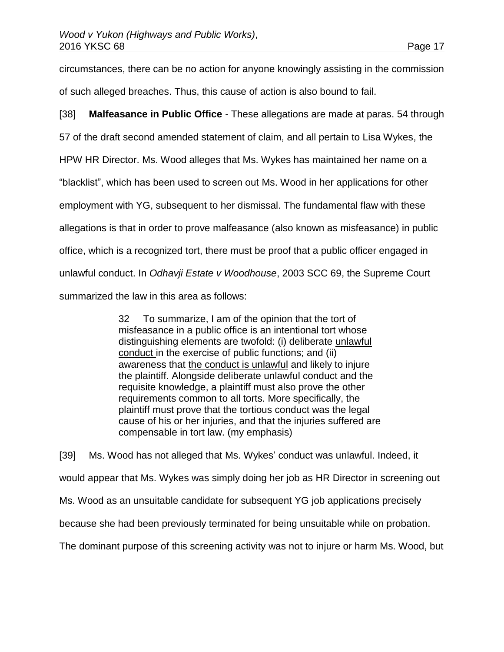circumstances, there can be no action for anyone knowingly assisting in the commission of such alleged breaches. Thus, this cause of action is also bound to fail.

[38] **Malfeasance in Public Office** - These allegations are made at paras. 54 through 57 of the draft second amended statement of claim, and all pertain to Lisa Wykes, the HPW HR Director. Ms. Wood alleges that Ms. Wykes has maintained her name on a "blacklist", which has been used to screen out Ms. Wood in her applications for other employment with YG, subsequent to her dismissal. The fundamental flaw with these allegations is that in order to prove malfeasance (also known as misfeasance) in public office, which is a recognized tort, there must be proof that a public officer engaged in unlawful conduct. In *Odhavji Estate v Woodhouse*, 2003 SCC 69, the Supreme Court summarized the law in this area as follows:

> 32 To summarize, I am of the opinion that the tort of misfeasance in a public office is an intentional tort whose distinguishing elements are twofold: (i) deliberate unlawful conduct in the exercise of public functions; and (ii) awareness that the conduct is unlawful and likely to injure the plaintiff. Alongside deliberate unlawful conduct and the requisite knowledge, a plaintiff must also prove the other requirements common to all torts. More specifically, the plaintiff must prove that the tortious conduct was the legal cause of his or her injuries, and that the injuries suffered are compensable in tort law. (my emphasis)

[39] Ms. Wood has not alleged that Ms. Wykes' conduct was unlawful. Indeed, it would appear that Ms. Wykes was simply doing her job as HR Director in screening out Ms. Wood as an unsuitable candidate for subsequent YG job applications precisely because she had been previously terminated for being unsuitable while on probation. The dominant purpose of this screening activity was not to injure or harm Ms. Wood, but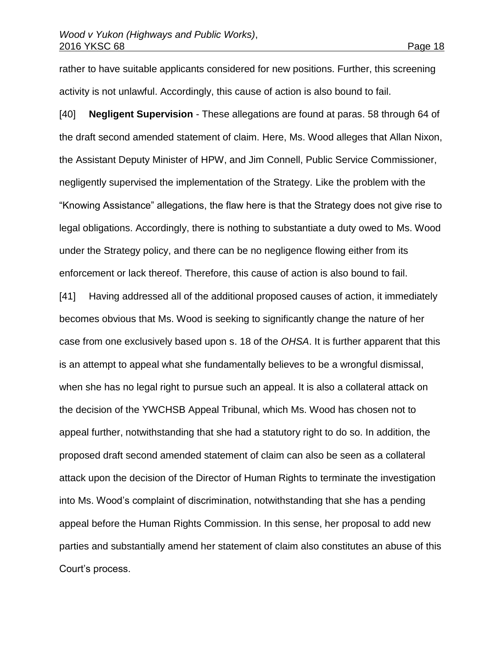rather to have suitable applicants considered for new positions. Further, this screening activity is not unlawful. Accordingly, this cause of action is also bound to fail.

[40] **Negligent Supervision** - These allegations are found at paras. 58 through 64 of the draft second amended statement of claim. Here, Ms. Wood alleges that Allan Nixon, the Assistant Deputy Minister of HPW, and Jim Connell, Public Service Commissioner, negligently supervised the implementation of the Strategy. Like the problem with the "Knowing Assistance" allegations, the flaw here is that the Strategy does not give rise to legal obligations. Accordingly, there is nothing to substantiate a duty owed to Ms. Wood under the Strategy policy, and there can be no negligence flowing either from its enforcement or lack thereof. Therefore, this cause of action is also bound to fail.

[41] Having addressed all of the additional proposed causes of action, it immediately becomes obvious that Ms. Wood is seeking to significantly change the nature of her case from one exclusively based upon s. 18 of the *OHSA*. It is further apparent that this is an attempt to appeal what she fundamentally believes to be a wrongful dismissal, when she has no legal right to pursue such an appeal. It is also a collateral attack on the decision of the YWCHSB Appeal Tribunal, which Ms. Wood has chosen not to appeal further, notwithstanding that she had a statutory right to do so. In addition, the proposed draft second amended statement of claim can also be seen as a collateral attack upon the decision of the Director of Human Rights to terminate the investigation into Ms. Wood's complaint of discrimination, notwithstanding that she has a pending appeal before the Human Rights Commission. In this sense, her proposal to add new parties and substantially amend her statement of claim also constitutes an abuse of this Court's process.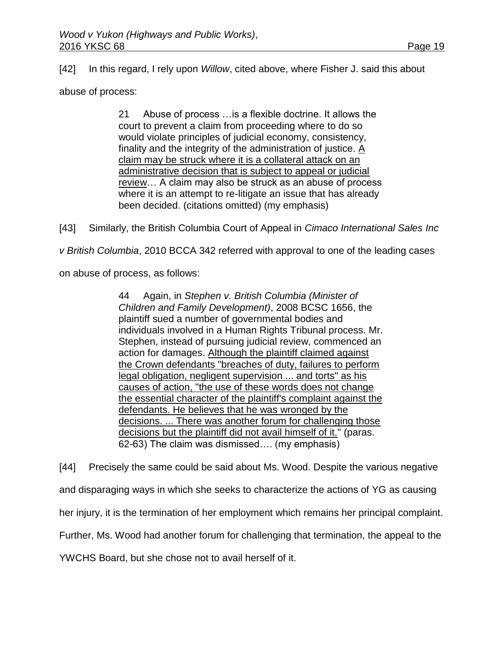[42] In this regard, I rely upon *Willow*, cited above, where Fisher J. said this about

abuse of process:

21 Abuse of process …is a flexible doctrine. It allows the court to prevent a claim from proceeding where to do so would violate principles of judicial economy, consistency, finality and the integrity of the administration of justice. A claim may be struck where it is a collateral attack on an administrative decision that is subject to appeal or judicial review… A claim may also be struck as an abuse of process where it is an attempt to re-litigate an issue that has already been decided. (citations omitted) (my emphasis)

[43] Similarly, the British Columbia Court of Appeal in *Cimaco International Sales Inc*

*v British Columbia*, 2010 BCCA 342 referred with approval to one of the leading cases

on abuse of process, as follows:

44 Again, in *Stephen v. British Columbia (Minister of Children and Family Development)*, [2008 BCSC 1656,](http://www.lexisnexis.com/ca/legal/search/runRemoteLink.do?A=0.44124258581683296&bct=A&service=citation&risb=21_T25133527172&langcountry=CA&linkInfo=F%23CA%23BCSC%23sel1%252008%25year%252008%25decisiondate%252008%25onum%251656%25) the plaintiff sued a number of governmental bodies and individuals involved in a Human Rights Tribunal process. Mr. Stephen, instead of pursuing judicial review, commenced an action for damages. Although the plaintiff claimed against the Crown defendants "breaches of duty, failures to perform legal obligation, negligent supervision ... and torts" as his causes of action, "the use of these words does not change the essential character of the plaintiff's complaint against the defendants. He believes that he was wronged by the decisions. ... There was another forum for challenging those decisions but the plaintiff did not avail himself of it." (paras. 62-63) The claim was dismissed…. (my emphasis)

[44] Precisely the same could be said about Ms. Wood. Despite the various negative and disparaging ways in which she seeks to characterize the actions of YG as causing her injury, it is the termination of her employment which remains her principal complaint. Further, Ms. Wood had another forum for challenging that termination, the appeal to the YWCHS Board, but she chose not to avail herself of it.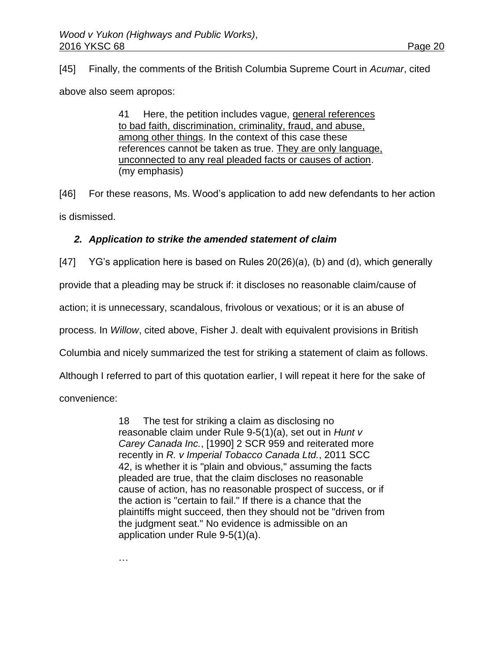[45] Finally, the comments of the British Columbia Supreme Court in *Acumar*, cited

above also seem apropos:

41 Here, the petition includes vague, general references to bad faith, discrimination, criminality, fraud, and abuse, among other things. In the context of this case these references cannot be taken as true. They are only language, unconnected to any real pleaded facts or causes of action. (my emphasis)

[46] For these reasons, Ms. Wood's application to add new defendants to her action is dismissed.

## *2. Application to strike the amended statement of claim*

[47] YG's application here is based on Rules 20(26)(a), (b) and (d), which generally

provide that a pleading may be struck if: it discloses no reasonable claim/cause of

action; it is unnecessary, scandalous, frivolous or vexatious; or it is an abuse of

process. In *Willow*, cited above, Fisher J. dealt with equivalent provisions in British

Columbia and nicely summarized the test for striking a statement of claim as follows.

Although I referred to part of this quotation earlier, I will repeat it here for the sake of

convenience:

18 The test for striking a claim as disclosing no reasonable claim under Rule 9-5(1)(a), set out in *Hunt v Carey Canada Inc.*, [\[1990\] 2 SCR 959](http://www.lexisnexis.com/ca/legal/search/runRemoteLink.do?A=0.9403079249417411&bct=A&service=citation&risb=21_T25140024765&langcountry=CA&linkInfo=F%23CA%23SCR%23vol%252%25sel1%251990%25page%25959%25year%251990%25sel2%252%25) and reiterated more recently in *R. v Imperial Tobacco Canada Ltd.*, [2011 SCC](http://www.lexisnexis.com/ca/legal/search/runRemoteLink.do?A=0.021105832917065026&bct=A&service=citation&risb=21_T25140024765&langcountry=CA&linkInfo=F%23CA%23SCC%23sel1%252011%25year%252011%25decisiondate%252011%25onum%2542%25)  [42,](http://www.lexisnexis.com/ca/legal/search/runRemoteLink.do?A=0.021105832917065026&bct=A&service=citation&risb=21_T25140024765&langcountry=CA&linkInfo=F%23CA%23SCC%23sel1%252011%25year%252011%25decisiondate%252011%25onum%2542%25) is whether it is "plain and obvious," assuming the facts pleaded are true, that the claim discloses no reasonable cause of action, has no reasonable prospect of success, or if the action is "certain to fail." If there is a chance that the plaintiffs might succeed, then they should not be "driven from the judgment seat." No evidence is admissible on an application under Rule 9-5(1)(a).

…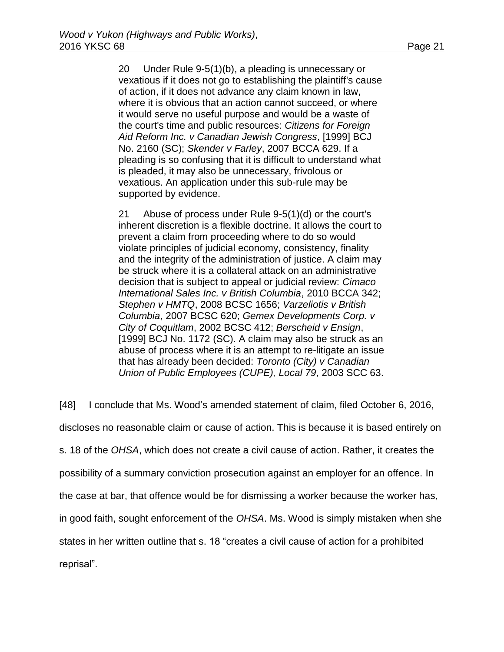20 Under Rule 9-5(1)(b), a pleading is unnecessary or vexatious if it does not go to establishing the plaintiff's cause of action, if it does not advance any claim known in law, where it is obvious that an action cannot succeed, or where it would serve no useful purpose and would be a waste of the court's time and public resources: *Citizens for Foreign Aid Reform Inc. v Canadian Jewish Congress*, [\[1999\] BCJ](http://www.lexisnexis.com/ca/legal/search/runRemoteLink.do?A=0.5235896282968117&bct=A&service=citation&risb=21_T25140024765&langcountry=CA&linkInfo=F%23CA%23BCJ%23ref%252160%25sel1%251999%25year%251999%25)  [No. 2160](http://www.lexisnexis.com/ca/legal/search/runRemoteLink.do?A=0.5235896282968117&bct=A&service=citation&risb=21_T25140024765&langcountry=CA&linkInfo=F%23CA%23BCJ%23ref%252160%25sel1%251999%25year%251999%25) (SC); *Skender v Farley*, [2007 BCCA 629.](http://www.lexisnexis.com/ca/legal/search/runRemoteLink.do?A=0.7465931623747987&bct=A&service=citation&risb=21_T25140024765&langcountry=CA&linkInfo=F%23CA%23BCCA%23sel1%252007%25year%252007%25decisiondate%252007%25onum%25629%25) If a pleading is so confusing that it is difficult to understand what is pleaded, it may also be unnecessary, frivolous or vexatious. An application under this sub-rule may be supported by evidence.

21 Abuse of process under Rule 9-5(1)(d) or the court's inherent discretion is a flexible doctrine. It allows the court to prevent a claim from proceeding where to do so would violate principles of judicial economy, consistency, finality and the integrity of the administration of justice. A claim may be struck where it is a collateral attack on an administrative decision that is subject to appeal or judicial review: *Cimaco International Sales Inc. v British Columbia*, [2010 BCCA 342;](http://www.lexisnexis.com/ca/legal/search/runRemoteLink.do?A=0.2716960955702856&bct=A&service=citation&risb=21_T25140024765&langcountry=CA&linkInfo=F%23CA%23BCCA%23sel1%252010%25year%252010%25decisiondate%252010%25onum%25342%25) *Stephen v HMTQ*, [2008 BCSC 1656;](http://www.lexisnexis.com/ca/legal/search/runRemoteLink.do?A=0.9324707226276692&bct=A&service=citation&risb=21_T25140024765&langcountry=CA&linkInfo=F%23CA%23BCSC%23sel1%252008%25year%252008%25decisiondate%252008%25onum%251656%25) *Varzeliotis v British Columbia*, [2007 BCSC 620;](http://www.lexisnexis.com/ca/legal/search/runRemoteLink.do?A=0.8860431176146056&bct=A&service=citation&risb=21_T25140024765&langcountry=CA&linkInfo=F%23CA%23BCSC%23sel1%252007%25year%252007%25decisiondate%252007%25onum%25620%25) *Gemex Developments Corp. v City of Coquitlam*, [2002 BCSC 412;](http://www.lexisnexis.com/ca/legal/search/runRemoteLink.do?A=0.9300017770883819&bct=A&service=citation&risb=21_T25140024765&langcountry=CA&linkInfo=F%23CA%23BCSC%23sel1%252002%25year%252002%25decisiondate%252002%25onum%25412%25) *Berscheid v Ensign*, [\[1999\] BCJ No. 1172](http://www.lexisnexis.com/ca/legal/search/runRemoteLink.do?A=0.2468421754740837&bct=A&service=citation&risb=21_T25140024765&langcountry=CA&linkInfo=F%23CA%23BCJ%23ref%251172%25sel1%251999%25year%251999%25) (SC). A claim may also be struck as an abuse of process where it is an attempt to re-litigate an issue that has already been decided: *Toronto (City) v Canadian Union of Public Employees (CUPE), Local 79*, [2003 SCC 63.](http://www.lexisnexis.com/ca/legal/search/runRemoteLink.do?A=0.813071836431648&bct=A&service=citation&risb=21_T25140024765&langcountry=CA&linkInfo=F%23CA%23SCC%23sel1%252003%25year%252003%25decisiondate%252003%25onum%2563%25)

[48] I conclude that Ms. Wood's amended statement of claim, filed October 6, 2016,

discloses no reasonable claim or cause of action. This is because it is based entirely on

s. 18 of the *OHSA*, which does not create a civil cause of action. Rather, it creates the

possibility of a summary conviction prosecution against an employer for an offence. In

the case at bar, that offence would be for dismissing a worker because the worker has,

in good faith, sought enforcement of the *OHSA*. Ms. Wood is simply mistaken when she

states in her written outline that s. 18 "creates a civil cause of action for a prohibited

reprisal".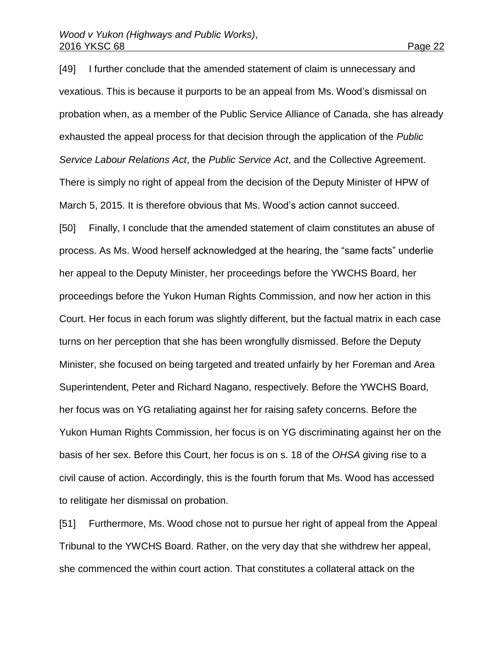[49] I further conclude that the amended statement of claim is unnecessary and vexatious. This is because it purports to be an appeal from Ms. Wood's dismissal on probation when, as a member of the Public Service Alliance of Canada, she has already exhausted the appeal process for that decision through the application of the *Public Service Labour Relations Act*, the *Public Service Act*, and the Collective Agreement. There is simply no right of appeal from the decision of the Deputy Minister of HPW of March 5, 2015. It is therefore obvious that Ms. Wood's action cannot succeed.

[50] Finally, I conclude that the amended statement of claim constitutes an abuse of process. As Ms. Wood herself acknowledged at the hearing, the "same facts" underlie her appeal to the Deputy Minister, her proceedings before the YWCHS Board, her proceedings before the Yukon Human Rights Commission, and now her action in this Court. Her focus in each forum was slightly different, but the factual matrix in each case turns on her perception that she has been wrongfully dismissed. Before the Deputy Minister, she focused on being targeted and treated unfairly by her Foreman and Area Superintendent, Peter and Richard Nagano, respectively. Before the YWCHS Board, her focus was on YG retaliating against her for raising safety concerns. Before the Yukon Human Rights Commission, her focus is on YG discriminating against her on the basis of her sex. Before this Court, her focus is on s. 18 of the *OHSA* giving rise to a civil cause of action. Accordingly, this is the fourth forum that Ms. Wood has accessed to relitigate her dismissal on probation.

[51] Furthermore, Ms. Wood chose not to pursue her right of appeal from the Appeal Tribunal to the YWCHS Board. Rather, on the very day that she withdrew her appeal, she commenced the within court action. That constitutes a collateral attack on the